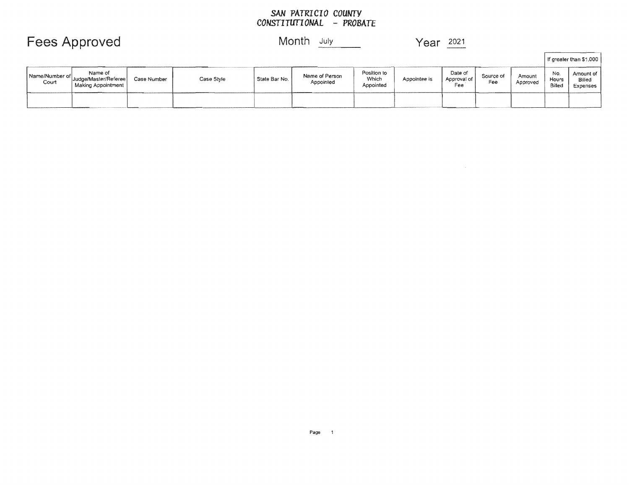#### *COUNTY PROBATE*

## Fees Approved Month July Year 2021

 $\Gamma$ 

|                           |                                                        |             |            |                 |                             |                                   |              |                                 |                  |                    |                        | I If greater than \$1,000       |
|---------------------------|--------------------------------------------------------|-------------|------------|-----------------|-----------------------------|-----------------------------------|--------------|---------------------------------|------------------|--------------------|------------------------|---------------------------------|
| Name/Number of  <br>Court | Name of<br>"Uudge/Master/Referee<br>Making Appointment | Case Number | Case Style | State Bar No. 1 | Name of Person<br>Appointed | Position to<br>Which<br>Appointed | Appointee is | Date of<br>Approval of  <br>Fee | Source of<br>Fee | Amount<br>Approved | No.<br>Hours<br>Billec | Amount of<br>Billeo<br>Expenses |
|                           |                                                        |             |            |                 |                             |                                   |              |                                 |                  |                    |                        |                                 |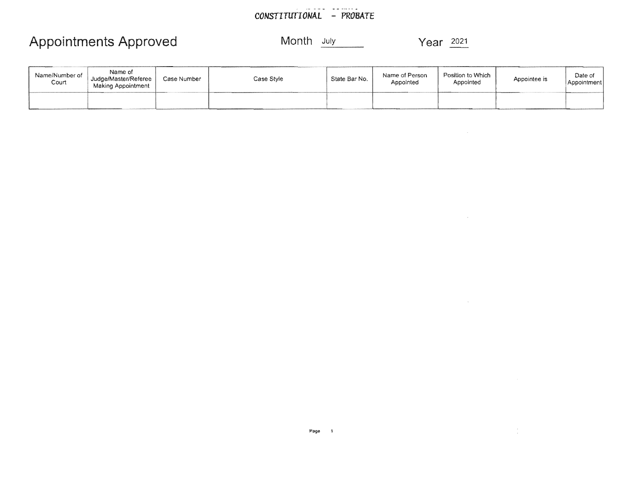#### CONSTITUTIONAL - PROBATE

## Appointments Approved Month July Month July Year 2021

 $\mathcal{L}(\mathcal{L}^{\mathcal{L}})$  and  $\mathcal{L}(\mathcal{L}^{\mathcal{L}})$  and  $\mathcal{L}(\mathcal{L}^{\mathcal{L}})$  and  $\mathcal{L}(\mathcal{L}^{\mathcal{L}})$ 

 $\sim 10^{-11}$ 

 $\mathcal{L}^{\mathcal{L}}$ 

| Name/Number of<br>Court | Name of<br>Judge/Master/Referee<br>Making Appointment | Case Number | Case Style | State Bar No. | Name of Person<br>Appointed | Position to Which<br>Appointed | Appointee is | Date of<br>Appointment |
|-------------------------|-------------------------------------------------------|-------------|------------|---------------|-----------------------------|--------------------------------|--------------|------------------------|
|                         |                                                       |             | ________   |               |                             |                                |              |                        |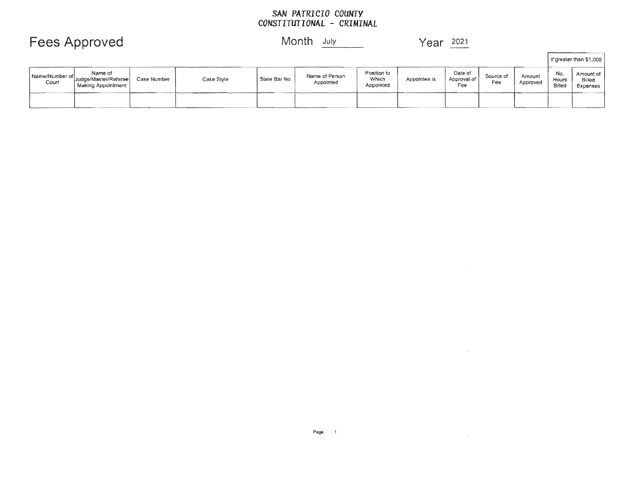# SAN PATRICIO COUNTY<br>CONSTITUTIONAL - CRIMINAL

### **Fees Approved**

### Month July

Year 2021

 $\sim 100$ 

 $\mathcal{L}^{\text{max}}_{\text{max}}$  , where  $\mathcal{L}^{\text{max}}_{\text{max}}$ 

|                           |                                                       |             |            |               |                             |                                   |              |                               |                  |                    |                        | If greater than \$1,000         |
|---------------------------|-------------------------------------------------------|-------------|------------|---------------|-----------------------------|-----------------------------------|--------------|-------------------------------|------------------|--------------------|------------------------|---------------------------------|
| Name/Number of  <br>Court | Name of<br>Judge/Master/Referee<br>Making Appointment | Case Number | Case Style | State Bar No. | Name of Person<br>Appointed | Position to<br>Which<br>Appointed | Appointee is | Date of<br>Approval of<br>Fee | Source of<br>Fee | Amount<br>Approved | No.<br>Hours<br>Billed | Amount of<br>Billed<br>Expenses |
|                           |                                                       |             |            |               |                             |                                   |              |                               |                  |                    |                        |                                 |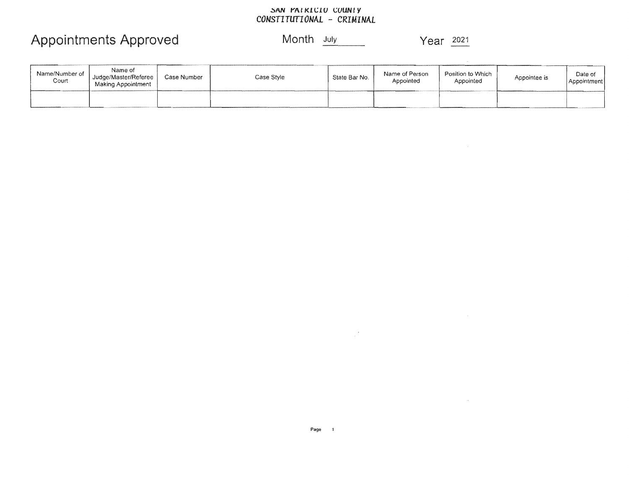## SAN PAIRICIO COUNTY<br>CONSTITUTIONAL - CRIMINAL

## Appointments Approved

Month July

Year 2021

 $\label{eq:2.1} \frac{1}{\sqrt{2}}\int_{\mathbb{R}^3}\frac{1}{\sqrt{2}}\left(\frac{1}{\sqrt{2}}\right)^2\frac{1}{\sqrt{2}}\left(\frac{1}{\sqrt{2}}\right)^2\frac{1}{\sqrt{2}}\left(\frac{1}{\sqrt{2}}\right)^2\frac{1}{\sqrt{2}}\left(\frac{1}{\sqrt{2}}\right)^2.$ 

 $\label{eq:2.1} \frac{1}{\sqrt{2}}\left(\frac{1}{\sqrt{2}}\right)^{2} \left(\frac{1}{\sqrt{2}}\right)^{2} \left(\frac{1}{\sqrt{2}}\right)^{2} \left(\frac{1}{\sqrt{2}}\right)^{2} \left(\frac{1}{\sqrt{2}}\right)^{2} \left(\frac{1}{\sqrt{2}}\right)^{2} \left(\frac{1}{\sqrt{2}}\right)^{2} \left(\frac{1}{\sqrt{2}}\right)^{2} \left(\frac{1}{\sqrt{2}}\right)^{2} \left(\frac{1}{\sqrt{2}}\right)^{2} \left(\frac{1}{\sqrt{2}}\right)^{2} \left(\$ 

| Name/Number of  <br>Court | Name of<br>Uudge/Master/Referee<br>Making Appointment | Case Number | Case Style | State Bar No. | Name of Person<br>Appointed | Position to Which<br>Appointed | Appointee is | Date of<br>Appointment |
|---------------------------|-------------------------------------------------------|-------------|------------|---------------|-----------------------------|--------------------------------|--------------|------------------------|
|                           |                                                       |             |            |               |                             |                                |              |                        |

 $\label{eq:2.1} \frac{1}{\sqrt{2}}\sum_{i=1}^n\frac{1}{\sqrt{2}}\sum_{i=1}^n\frac{1}{\sqrt{2}}\sum_{i=1}^n\frac{1}{\sqrt{2}}\sum_{i=1}^n\frac{1}{\sqrt{2}}\sum_{i=1}^n\frac{1}{\sqrt{2}}\sum_{i=1}^n\frac{1}{\sqrt{2}}\sum_{i=1}^n\frac{1}{\sqrt{2}}\sum_{i=1}^n\frac{1}{\sqrt{2}}\sum_{i=1}^n\frac{1}{\sqrt{2}}\sum_{i=1}^n\frac{1}{\sqrt{2}}\sum_{i=1}^n\frac$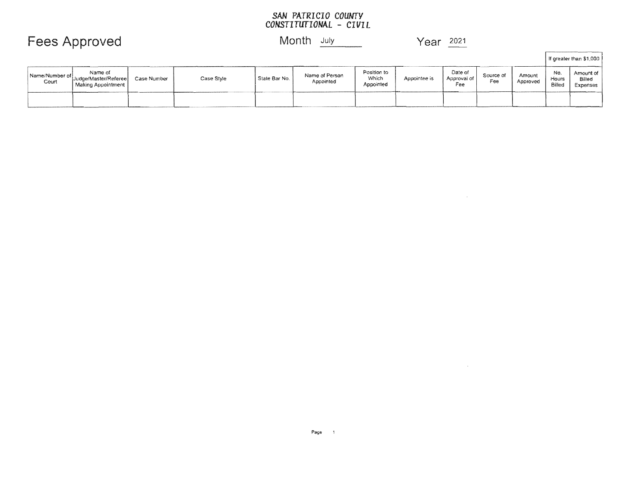## SAN PATRICIO COUNTY<br>CONSTITUTIONAL - CIVIL

Fees Approved Month July Month July Year 2021

 $\mathcal{L}^{\text{max}}_{\text{max}}$ 

 $\sim$ 

 $\mathsf{r}$ 

*<u>Property and Contract and Contract and Contract and Contract and Contract and Contract and Contract and Contract and Contract and Contract and Contract and Contract and Contract and Contract and Contract and Contract an*</u>

|                           |                                                       |             |            |               |                             |                                   |              |                               |                  |                    |                        | If greater than \$1,000         |
|---------------------------|-------------------------------------------------------|-------------|------------|---------------|-----------------------------|-----------------------------------|--------------|-------------------------------|------------------|--------------------|------------------------|---------------------------------|
| Name/Number of  <br>Court | Name of<br>Judge/Master/Referee<br>Making Appointment | Case Number | Case Style | State Bar No. | Name of Person<br>Appointed | Position to<br>Which<br>Appointed | Appointee is | Date of<br>Approval of<br>Fee | Source of<br>Fee | Amount<br>Approved | No.<br>Hours<br>Billed | Amount of<br>Billed<br>Expenses |
|                           |                                                       |             |            |               |                             |                                   |              |                               |                  |                    |                        |                                 |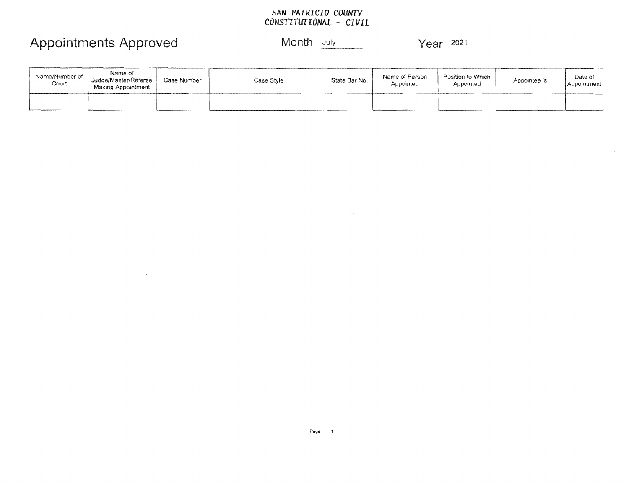## SAN PAIRICIO COUNTY<br>CONSTITUTIONAL - CIVIL

## Appointments Approved

 $\sim 100$ 

#### Month July

Year 2021

 $\bar{\mathcal{A}}$ 

 $\mathcal{L}^{\mathcal{A}}$ 

| Name/Number of<br>Court | Name of<br>Judge/Master/Referee<br>Making Appointment | Case Number | Case Style | State Bar No. | Name of Person<br>Appointed | Position to Which<br>Appointed | Appointee is | Date of<br>Appointment |
|-------------------------|-------------------------------------------------------|-------------|------------|---------------|-----------------------------|--------------------------------|--------------|------------------------|
|                         |                                                       |             |            |               |                             |                                |              |                        |

the control of the control of the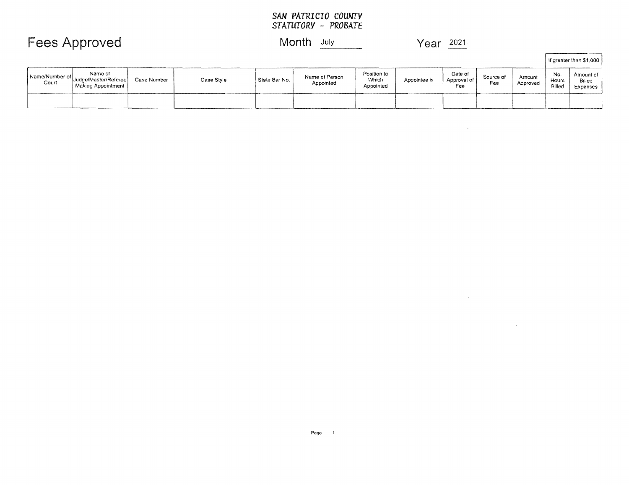# SAN PATRICIO COUNTY<br>STATUTORY - PROBATE

## Fees Approved Month July Month July Year 2021

 $\mathcal{L}^{\text{max}}_{\text{max}}$ 

|                         |                                                       |             |            |               |                             |                                   |              |                               |                  |                     |                        | If greater than \$1,000         |
|-------------------------|-------------------------------------------------------|-------------|------------|---------------|-----------------------------|-----------------------------------|--------------|-------------------------------|------------------|---------------------|------------------------|---------------------------------|
| Name/Number of<br>Court | Name of<br>Judge/Master/Referee<br>Making Appointment | Case Number | Case Style | Stale Bar No. | Name of Person<br>Appointed | Position to<br>Which<br>Appointed | Appointee is | Date of<br>Approval of<br>Fee | Source of<br>Fee | Arnount<br>Approved | No.<br>Hours<br>Billed | Amount of<br>Billed<br>Expenses |
|                         |                                                       |             |            |               |                             |                                   |              |                               |                  |                     |                        |                                 |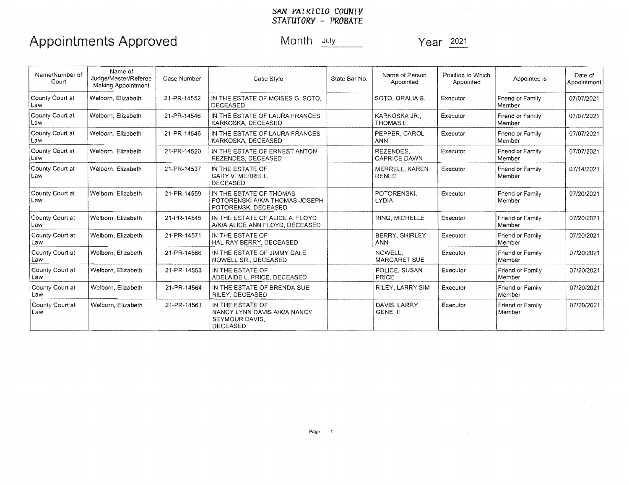# *SAN PATKICIO COUNTY*<br>*STATUTORY - PROBATE*

## Appointments Approved Month July Year 2021

| Name/Number of<br>Court | Name of<br>Judge/Master/Referee<br>Making Appointment | Case Number | Case Style                                                                            | State Bar No. | Name of Person<br>Appointed             | Position to Which<br>Appointed | Appointee is               | Date of<br>Appointment |
|-------------------------|-------------------------------------------------------|-------------|---------------------------------------------------------------------------------------|---------------|-----------------------------------------|--------------------------------|----------------------------|------------------------|
| County Court at<br>Law  | Welborn, Elizabeth                                    | 21-PR-14552 | IN THE ESTATE OF MOISES G. SOTO.<br><b>DECEASED</b>                                   |               | SOTO, ORALIA B.                         | Executor                       | Friend or Family<br>Member | 07/07/2021             |
| County Court at<br> Law | Welborn, Elizabeth                                    | 21-PR-14546 | IN THE ESTATE OF LAURA FRANCES<br>KARKOSKA, DECEASED                                  |               | KARKOSKA JR.,<br><b>THOMAS L.</b>       | Executor                       | Friend or Family<br>Member | 07/07/2021             |
| County Court at<br>Law  | Welborn, Elizabeth                                    | 21-PR-14546 | IN THE ESTATE OF LAURA FRANCES<br>KARKOSKA, DECEASED                                  |               | PEPPER, CAROL<br><b>ANN</b>             | Executor                       | Friend or Family<br>Member | 07/07/2021             |
| County Court at<br> Law | Welborn, Elizabeth                                    | 21-PR-14520 | IN THE ESTATE OF ERNEST ANTON<br>REZENDES, DECEASED                                   |               | <b>REZENDES.</b><br><b>CAPRICE DAWN</b> | Executor                       | Friend or Family<br>Member | 07/07/2021             |
| County Court at<br>Law  | Welborn, Elizabeth                                    | 21-PR-14537 | IN THE ESTATE OF<br>GARY V. MERRELL.<br><b>DECEASED</b>                               |               | MERRELL, KAREN<br><b>RENEE</b>          | Executor                       | Friend or Family<br>Member | 07/14/2021             |
| County Court at<br>Law  | Welborn, Elizabeth                                    | 21-PR-14559 | IN THE ESTATE OF THOMAS<br>POTORENSKI A/K/A THOMAS JOSEPH<br>POTORENSK, DECEASED      |               | POTORENSKI.<br><b>LYDIA</b>             | Executor                       | Friend or Family<br>Member | 07/20/2021             |
| County Court at<br>Law  | Welborn, Elizabeth                                    | 21-PR-14545 | IN THE ESTATE OF ALICE A. FLOYD<br>A/K/A ALICE ANN FLOYD, DECEASED                    |               | RING, MICHELLE                          | Executor                       | Friend or Family<br>Member | 07/20/2021             |
| County Court at<br>Law  | Welborn, Elizabeth                                    | 21-PR-14571 | IN THE ESTATE OF<br>HAL RAY BERRY, DECEASED                                           |               | <b>BERRY, SHIRLEY</b><br><b>ANN</b>     | Executor                       | Friend or Family<br>Member | 07/20/2021             |
| County Court at<br> Law | Welborn, Elizabeth                                    | 21-PR-14566 | IN THE ESTATE OF JIMMY DALE<br>NOWELL SR., DECEASED                                   |               | NOWELL.<br><b>MARGARET SUE</b>          | Executor                       | Friend or Family<br>Member | 07/20/2021             |
| County Court at<br>Law  | Welborn, Elizabeth                                    | 21-PR-14553 | IN THE ESTATE OF<br>ADELAIDE L. PRICE, DECEASED                                       |               | POLICE, SUSAN<br>PRICE                  | Executor                       | Friend or Family<br>Member | 07/20/2021             |
| County Court at<br>Law  | Welborn, Elizabeth                                    | 21-PR-14564 | IN THE ESTATE OF BRENDA SUE<br>RILEY, DECEASED                                        |               | RILEY, LARRY SIM                        | Executor                       | Friend or Family<br>Member | 07/20/2021             |
| County Court at<br>Law  | Welborn, Elizabeth                                    | 21-PR-14561 | IN THE ESTATE OF<br>NANCY LYNN DAVIS A/K/A NANCY<br>SEYMOUR DAVIS.<br><b>DECEASED</b> |               | DAVIS, LARRY<br>GENE. II                | Executor                       | Friend or Family<br>Member | 07/20/2021             |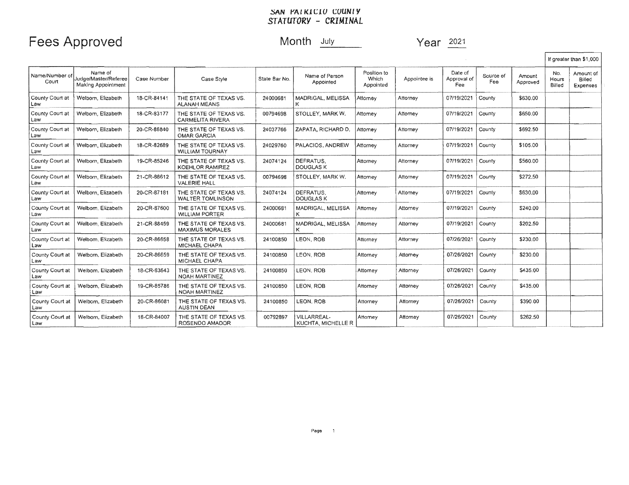#### ~AN *rAIKICIU CUUNty*  CRIMINAL

## Fees Approved Month July Year 2021

 $\Gamma$ 

|                          |                                                       |             |                                                   |               |                                   |                                   |              |                               |                  |                    |                        | If greater than \$1,000         |
|--------------------------|-------------------------------------------------------|-------------|---------------------------------------------------|---------------|-----------------------------------|-----------------------------------|--------------|-------------------------------|------------------|--------------------|------------------------|---------------------------------|
| Name/Number of<br>Court  | Name of<br>Judge/Master/Referee<br>Making Appointment | Case Number | Case Style                                        | State Bar No. | Name of Person<br>Appointed       | Position to<br>Which<br>Appointed | Appointee is | Date of<br>Approval of<br>Fee | Source of<br>Fee | Amount<br>Approved | No.<br>Hours<br>Billed | Amount of<br>Billed<br>Expenses |
| County Court at<br>Law   | Welborn, Elizabeth                                    | 18-CR-84141 | THE STATE OF TEXAS VS.<br><b>ALANAH MEANS</b>     | 24000681      | MADRIGAL, MELISSA                 | Attorney                          | Attorney     | 07/19/2021                    | County           | \$630.00           |                        |                                 |
| County Court at<br>Law   | Welborn, Elizabeth                                    | 18-CR-83177 | THE STATE OF TEXAS VS.<br><b>CARMELITA RIVERA</b> | 00794698      | STOLLEY, MARK W.                  | <b>Attomey</b>                    | Attorney     | 07/19/2021                    | County           | \$650.00           |                        |                                 |
| County Court at<br>Law   | Welborn, Elizabeth                                    | 20-CR-86840 | THE STATE OF TEXAS VS.<br><b>OMAR GARCIA</b>      | 24037766      | ZAPATA, RICHARD D.                | Attomey                           | Attorney     | 07/19/2021                    | County           | \$692.50           |                        |                                 |
| County Court at<br>Law   | Welbom, Elizabeth                                     | 18-CR-82689 | THE STATE OF TEXAS VS.<br><b>WILLIAM TOURNAY</b>  | 24029760      | PALACIOS, ANDREW                  | Attorney                          | Attorney     | 07/19/2021                    | County           | \$105.00           |                        |                                 |
| County Court at<br>Law   | Welborn, Elizabeth                                    | 19-CR-85246 | THE STATE OF TEXAS VS.<br><b>KOEHLOR RAMIREZ</b>  | 24074124      | DEFRATUS.<br>DOUGLAS K            | Attorney                          | Attomey      | 07/19/2021                    | County           | \$560.00           |                        |                                 |
| County Court at<br>Law   | Welborn, Elizabeth                                    | 21-CR-88612 | THE STATE OF TEXAS VS.<br><b>VALERIE HALL</b>     | 00794698      | STOLLEY, MARK W.                  | Attorney                          | Attorney     | 07/19/2021                    | County           | \$272.50           |                        |                                 |
| County Court at<br>Law   | Welborn, Elizabeth                                    | 20-CR-87181 | THE STATE OF TEXAS VS.<br><b>WALTER TOMLINSON</b> | 24074124      | DEFRATUS.<br><b>DOUGLAS K</b>     | Attorney                          | Attomey      | 07/19/2021                    | County           | \$630.00           |                        |                                 |
| County Court at<br>Law   | Welborn, Elizabeth                                    | 20-CR-87600 | THE STATE OF TEXAS VS.<br><b>WILLIAM PORTER</b>   | 24000681      | MADRIGAL, MELISSA                 | Attomey                           | Attorney     | 07/19/2021                    | County           | \$240.00           |                        |                                 |
| County Court at<br>Law   | Welborn, Elizabeth                                    | 21-CR-88459 | THE STATE OF TEXAS VS.<br><b>MAXIMUS MORALES</b>  | 24000681      | MADRIGAL, MELISSA                 | Attorney                          | Attomey      | 07/19/2021                    | County           | \$202.50           |                        |                                 |
| County Court at<br>Law   | Welbom, Elizabeth                                     | 20-CR-86658 | THE STATE OF TEXAS VS.<br>MICHAEL CHAPA           | 24100850      | LEON, ROB                         | Attorney                          | Attorney     | 07/26/2021                    | County           | \$230.00           |                        |                                 |
| County Court at<br>Law   | Welborn, Elizabeth                                    | 20-CR-86659 | THE STATE OF TEXAS VS.<br>MICHAEL CHAPA           | 24100850      | LEON, ROB                         | Attorney                          | Attorney     | 07/26/2021                    | County           | \$230.00           |                        |                                 |
| County Court at<br>Law   | Welborn, Elizabeth                                    | 18-CR-83643 | THE STATE OF TEXAS VS.<br><b>NOAH MARTINEZ</b>    | 24100850      | LEON, ROB                         | Attorney                          | Attorney     | 07/26/2021                    | County           | \$435.00           |                        |                                 |
| County Court at<br>Law   | Welborn, Elizabeth                                    | 19-CR-85786 | THE STATE OF TEXAS VS.<br><b>NOAH MARTINEZ</b>    | 24100850      | LEON, ROB                         | Attorney                          | Attorney     | 07/26/2021                    | County           | \$435.00           |                        |                                 |
| County Court at<br>Law   | Welborn, Elizabeth                                    | 20-CR-86081 | THE STATE OF TEXAS VS.<br><b>AUSTIN DEAN</b>      | 24100850      | LEON, ROB                         | Attorney                          | Attorney     | 07/26/2021                    | County           | \$390.00           |                        |                                 |
| County Court at<br>  Law | Welbom, Elizabeth                                     | 18-CR-84007 | THE STATE OF TEXAS VS.<br>ROSENDO AMADOR          | 00792897      | VILLARREAL-<br>KUCHTA, MICHELLE R | Attorney                          | Attomey      | 07/26/2021                    | County           | \$262.50           |                        |                                 |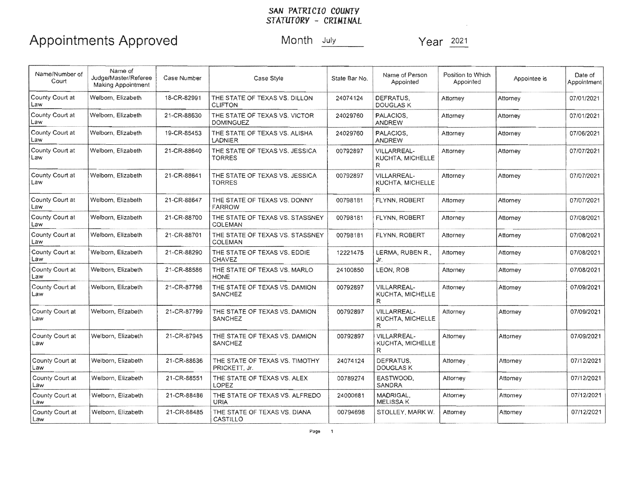## SAN PATRICIO COUNTY<br>STATUTORY - CRIMINAL

## Appointments Approved Month July

Year 2021

 $\sim$   $\sim$ 

| Name/Number of<br>Court  | Name of<br>Judge/Master/Referee<br>Making Appointment | Case Number | Case Style                                        | State Bar No. | Name of Person<br>Appointed                 | Position to Which<br>Appointed | Appointee is | Date of<br>Appointment |
|--------------------------|-------------------------------------------------------|-------------|---------------------------------------------------|---------------|---------------------------------------------|--------------------------------|--------------|------------------------|
| County Court at<br>Law   | Welborn, Elizabeth                                    | 18-CR-82991 | THE STATE OF TEXAS VS, DILLON<br><b>CLIFTON</b>   | 24074124      | DEFRATUS.<br><b>DOUGLAS K</b>               | Attorney                       | Attorney     | 07/01/2021             |
| County Court at<br>Law   | Welborn, Elizabeth                                    | 21-CR-88630 | THE STATE OF TEXAS VS. VICTOR<br><b>DOMINGUEZ</b> | 24029760      | PALACIOS.<br><b>ANDREW</b>                  | Attorney                       | Attomey      | 07/01/2021             |
| County Court at<br>Law   | Welborn, Elizabeth                                    | 19-CR-85453 | THE STATE OF TEXAS VS. ALISHA<br>LADNIER          | 24029760      | PALACIOS,<br><b>ANDREW</b>                  | Attorney                       | Attomey      | 07/06/2021             |
| County Court at<br>Law   | Welborn, Elizabeth                                    | 21-CR-88640 | THE STATE OF TEXAS VS. JESSICA<br>TORRES          | 00792897      | VILLARREAL-<br>KUCHTA, MICHELLE<br>R.       | Attorney                       | Attomey      | 07/07/2021             |
| County Court at<br>Law   | Welborn, Elizabeth                                    | 21-CR-88641 | THE STATE OF TEXAS VS. JESSICA<br>TORRES          | 00792897      | VILLARREAL-<br><b>KUCHTA, MICHELLE</b><br>R | Attorney                       | Attomey      | 07/07/2021             |
| County Court at<br>Law   | Welborn, Elizabeth                                    | 21-CR-88647 | THE STATE OF TEXAS VS. DONNY<br><b>FARROW</b>     | 00798181      | FLYNN, ROBERT                               | Attorney                       | Attornev     | 07/07/2021             |
| County Court at<br>Law   | Welborn, Elizabeth                                    | 21-CR-88700 | THE STATE OF TEXAS VS. STASSNEY<br>COLEMAN        | 00798181      | FLYNN, ROBERT                               | Attorney                       | Attorney     | 07/08/2021             |
| County Court at<br>Law   | Welborn, Elizabeth                                    | 21-CR-88701 | THE STATE OF TEXAS VS. STASSNEY<br><b>COLEMAN</b> | 00798181      | <b>FLYNN, ROBERT</b>                        | Attorney                       | Attomey      | 07/08/2021             |
| County Court at<br>Law   | Welborn, Elizabeth                                    | 21-CR-88290 | THE STATE OF TEXAS VS, EDDIE<br><b>CHAVEZ</b>     | 12221475      | LERMA, RUBEN R.,<br>Jr.                     | Attorney                       | Attomey      | 07/08/2021             |
| County Court at<br>Law   | Welborn, Elizabeth                                    | 21-CR-88586 | THE STATE OF TEXAS VS. MARLO<br><b>HONE</b>       | 24100850      | LEON, ROB                                   | Attorney                       | Attorney     | 07/08/2021             |
| County Court at<br>Law   | Welborn, Elizabeth                                    | 21-CR-87798 | THE STATE OF TEXAS VS. DAMION<br><b>SANCHEZ</b>   | 00792897      | VILLARREAL-<br>KUCHTA, MICHELLE<br>R        | Attorney                       | Attomey      | 07/09/2021             |
| County Court at<br>Law   | Welborn, Elizabeth                                    | 21-CR-87799 | THE STATE OF TEXAS VS, DAMION<br><b>SANCHEZ</b>   | 00792897      | VILLARREAL-<br>KUCHTA, MICHELLE<br>R.       | Attorney                       | Attorney     | 07/09/2021             |
| County Court at<br>Law   | Welborn, Elizabeth                                    | 21-CR-87945 | THE STATE OF TEXAS VS. DAMION<br><b>SANCHEZ</b>   | 00792897      | <b>VILLARREAL-</b><br>KUCHTA, MICHELLE<br>R | Attorney                       | Attorney     | 07/09/2021             |
| County Court at<br>Law   | Welborn, Elizabeth                                    | 21-CR-88636 | THE STATE OF TEXAS VS. TIMOTHY<br>PRICKETT, Jr.   | 24074124      | DEFRATUS.<br>DOUGLAS K                      | Attorney                       | Attorney     | 07/12/2021             |
| County Court at<br>Law   | Welborn, Elizabeth                                    | 21-CR-88551 | THE STATE OF TEXAS VS. ALEX<br>LOPEZ              | 00789274      | EASTWOOD.<br><b>SANDRA</b>                  | Attorney                       | Attorney     | 07/12/2021             |
| County Court at<br>Law   | Welborn, Elizabeth                                    | 21-CR-88486 | THE STATE OF TEXAS VS. ALFREDO<br><b>URIA</b>     | 24000681      | MADRIGAL,<br><b>MELISSA K</b>               | Attorney                       | Attorney     | 07/12/2021             |
| County Court at<br>  Law | Welborn, Elizabeth                                    | 21-CR-88485 | THE STATE OF TEXAS VS. DIANA<br>CASTILLO          | 00794698      | STOLLEY, MARK W.                            | Attorney                       | Attorney     | 07/12/2021             |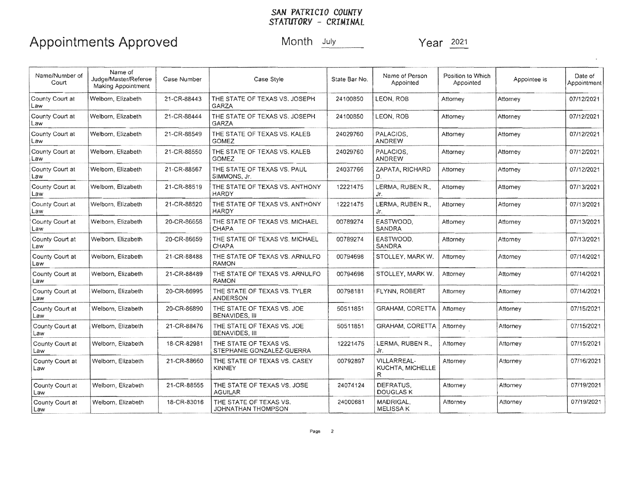# SAN PATRICIO COUNTY<br>STATUTORY - CRIMINAL

## Appointments Approved Month July Year 2021

| Name/Number of<br>Court | Name of<br>Judge/Master/Referee<br>Making Appointment | Case Number | Case Style                                          | State Bar No. | Name of Person<br>Appointed                 | Position to Which<br>Appointed | Appointee is | Date of<br>Appointment |
|-------------------------|-------------------------------------------------------|-------------|-----------------------------------------------------|---------------|---------------------------------------------|--------------------------------|--------------|------------------------|
| County Court at<br>Law  | Welborn Elizabeth                                     | 21-CR-88443 | THE STATE OF TEXAS VS. JOSEPH<br>GARZA              | 24100850      | LEON. ROB                                   | Attorney                       | Attorney     | 07/12/2021             |
| County Court at<br>Law. | Welborn, Elizabeth                                    | 21-CR-88444 | THE STATE OF TEXAS VS. JOSEPH<br>GARZA              | 24100850      | LEON, ROB                                   | Attorney                       | Attorney     | 07/12/2021             |
| County Court at<br>Law  | Welborn, Elizabeth                                    | 21-CR-88549 | THE STATE OF TEXAS VS. KALEB<br><b>GOMEZ</b>        | 24029760      | PALACIOS.<br>ANDREW                         | Attorney                       | Attorney     | 07/12/2021             |
| County Court at<br>Law  | Welborn, Elizabeth                                    | 21-CR-88550 | THE STATE OF TEXAS VS. KALEB<br>GOMEZ               | 24029760      | PALACIOS,<br><b>ANDREW</b>                  | Attorney                       | Attorney     | 07/12/2021             |
| County Court at<br>Law  | Welborn, Elizabeth                                    | 21-CR-88567 | THE STATE OF TEXAS VS. PAUL<br>SIMMONS, Jr.         | 24037766      | ZAPATA, RICHARD<br>D.                       | Attorney                       | Attorney     | 07/12/2021             |
| County Court at<br>Law  | Welborn, Elizabeth                                    | 21-CR-88519 | THE STATE OF TEXAS VS. ANTHONY<br>HARDY             | 12221475      | LERMA. RUBEN R<br>Jr.                       | Attorney                       | Attomey      | 07/13/2021             |
| County Court at<br>Law  | Welborn, Elizabeth                                    | 21-CR-88520 | THE STATE OF TEXAS VS. ANTHONY<br>HARDY             | 12221475      | LERMA, RUBEN R.,<br>Jr.                     | Attorney                       | Attorney     | 07/13/2021             |
| County Court at<br>Law  | Welborn, Elizabeth                                    | 20-CR-86658 | THE STATE OF TEXAS VS. MICHAEL<br><b>CHAPA</b>      | 00789274      | EASTWOOD,<br>SANDRA                         | Attomey                        | Attorney     | 07/13/2021             |
| County Court at<br>Law  | Welborn, Elizabeth                                    | 20-CR-86659 | THE STATE OF TEXAS VS. MICHAEL<br><b>CHAPA</b>      | 00789274      | EASTWOOD.<br><b>SANDRA</b>                  | Attorney                       | Attorney     | 07/13/2021             |
| County Court at<br>Law  | Welborn, Elizabeth                                    | 21-CR-88488 | THE STATE OF TEXAS VS. ARNULFO<br>RAMON             | 00794698      | STOLLEY, MARK W.                            | Attorney                       | Attorney     | 07/14/2021             |
| County Court at<br>Law  | Welborn, Elizabeth                                    | 21-CR-88489 | THE STATE OF TEXAS VS. ARNULFO<br>RAMON             | 00794698      | STOLLEY, MARK W.                            | Attorney                       | Attorney     | 07/14/2021             |
| County Court at<br>Law  | Welborn, Elizabeth                                    | 20-CR-86995 | THE STATE OF TEXAS VS. TYLER<br>ANDERSON            | 00798181      | FLYNN, ROBERT                               | Attorney                       | Attorney     | 07/14/2021             |
| County Court at<br>Law  | Welborn, Elizabeth                                    | 20-CR-86890 | THE STATE OF TEXAS VS. JOE<br>BENAVIDES, III        | 50511851      | <b>GRAHAM, CORETTA</b>                      | Attorney                       | Attorney     | 07/15/2021             |
| County Court at<br>Law  | Welborn, Elizabeth                                    | 21-CR-88476 | THE STATE OF TEXAS VS. JOE<br>BENAVIDES, III        | 50511851      | GRAHAM, CORETTA                             | Attorney                       | Attorney     | 07/15/2021             |
| County Court at<br>Law  | Welborn, Elizabeth                                    | 18-CR-82981 | THE STATE OF TEXAS VS.<br>STEPHANIE GONZALEZ-GUERRA | 12221475      | LERMA, RUBEN R.,<br>Jr.                     | Attorney                       | Attorney     | 07/15/2021             |
| County Court at<br>Law  | Welborn, Elizabeth                                    | 21-CR-88660 | THE STATE OF TEXAS VS. CASEY<br><b>KINNEY</b>       | 00792897      | <b>VILLARREAL-</b><br>KUCHTA, MICHELLE<br>R | Attorney                       | Attorney     | 07/16/2021             |
| County Court at<br>Law  | Welborn, Elizabeth                                    | 21-CR-88555 | THE STATE OF TEXAS VS. JOSE<br><b>AGUILAR</b>       | 24074124      | DEFRATUS.<br><b>DOUGLAS K</b>               | Attorney                       | Attomey      | 07/19/2021             |
| County Court at<br>Law  | Welborn, Elizabeth                                    | 18-CR-83016 | THE STATE OF TEXAS VS.<br><b>JOHNATHAN THOMPSON</b> | 24000681      | MADRIGAL.<br><b>MELISSA K</b>               | Attorney                       | Attorney     | 07/19/2021             |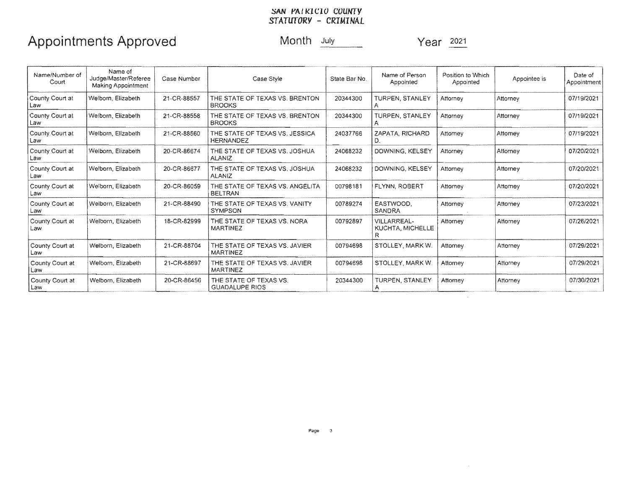## SAN PAIRICIO COUNTY<br>STATUTORY - CRIMINAL

## Appointments Approved Month July Month 2021

| Name/Number of<br>Court  | Name of<br>Judge/Master/Referee<br><b>Making Appointment</b> | Case Number | Case Style                                         | State Bar No. | Name of Person<br>Appointed                 | Position to Which<br>Appointed | Appointee is | Date of<br>Appointment |
|--------------------------|--------------------------------------------------------------|-------------|----------------------------------------------------|---------------|---------------------------------------------|--------------------------------|--------------|------------------------|
| County Court at<br>Law   | Welborn, Elizabeth                                           | 21-CR-88557 | THE STATE OF TEXAS VS. BRENTON<br><b>BROOKS</b>    | 20344300      | TURPEN, STANLEY                             | Attorney                       | Attorney     | 07/19/2021             |
| County Court at<br>Law   | Welborn, Elizabeth                                           | 21-CR-88558 | THE STATE OF TEXAS VS. BRENTON<br><b>BROOKS</b>    | 20344300      | TURPEN, STANLEY                             | Attorney                       | Attorney     | 07/19/2021             |
| County Court at<br>Law   | Welborn, Elizabeth                                           | 21-CR-88560 | THE STATE OF TEXAS VS. JESSICA<br><b>HERNANDEZ</b> | 24037766      | ZAPATA, RICHARD<br>D.                       | Attomey                        | Attorney     | 07/19/2021             |
| County Court at<br>Law   | Welborn, Elizabeth                                           | 20-CR-86674 | THE STATE OF TEXAS VS. JOSHUA<br><b>ALANIZ</b>     | 24068232      | DOWNING, KELSEY                             | Attorney                       | Attorney     | 07/20/2021             |
| County Court at<br>Law   | Welborn, Elizabeth                                           | 20-CR-86677 | THE STATE OF TEXAS VS. JOSHUA<br><b>ALANIZ</b>     | 24068232      | DOWNING, KELSEY                             | Attorney                       | Attorney     | 07/20/2021             |
| County Court at<br>Law   | Welborn, Elizabeth                                           | 20-CR-86059 | THE STATE OF TEXAS VS. ANGELITA<br><b>BELTRAN</b>  | 00798181      | <b>FLYNN, ROBERT</b>                        | Attorney                       | Attorney     | 07/20/2021             |
| County Court at<br>Law   | Welborn, Elizabeth                                           | 21-CR-88490 | THE STATE OF TEXAS VS. VANITY<br><b>SYMPSON</b>    | 00789274      | EASTWOOD.<br>SANDRA                         | Attorney                       | Attorney     | 07/23/2021             |
| County Court at<br>Law   | Welborn, Elizabeth                                           | 18-CR-82999 | THE STATE OF TEXAS VS. NORA<br><b>MARTINEZ</b>     | 00792897      | <b>VILLARREAL-</b><br>KUCHTA, MICHELLE<br>R | Attorney                       | Attorney     | 07/26/2021             |
| County Court at<br>Law   | Welborn, Elizabeth                                           | 21-CR-88704 | THE STATE OF TEXAS VS. JAVIER<br><b>MARTINEZ</b>   | 00794698      | STOLLEY, MARK W.                            | Attorney                       | Attorney     | 07/29/2021             |
| County Court at<br>Law   | Welborn, Elizabeth                                           | 21-CR-88697 | THE STATE OF TEXAS VS. JAVIER<br><b>MARTINEZ</b>   | 00794698      | STOLLEY, MARK W.                            | Attorney                       | Attorney     | 07/29/2021             |
| County Court at<br>  Law | Welborn, Elizabeth                                           | 20-CR-86456 | THE STATE OF TEXAS VS.<br><b>GUADALUPE RIOS</b>    | 20344300      | TURPEN. STANLEY                             | Attorney                       | Attorney     | 07/30/2021             |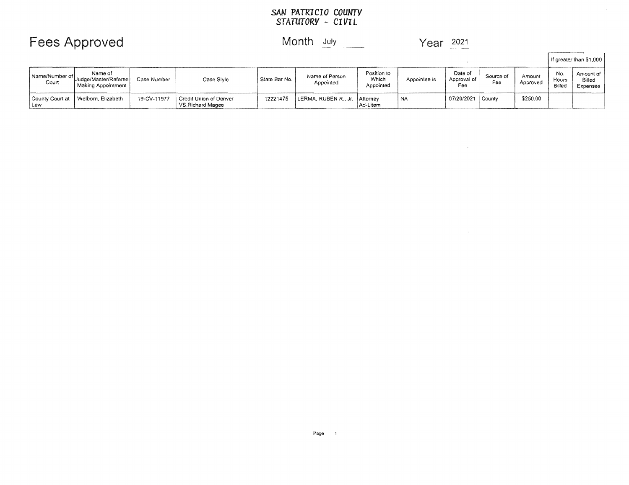# SAN PATRICIO COUNTY<br>STATUTORY - CIVIL

### **Fees Approved**

#### Month July

Year 2021

 $\sim$ 

 $\mathcal{L}^{\text{max}}_{\text{max}}$ 

|                          |                                                                                      |             |                                            |               |                               |                                   |              |                               |                  |                    | If greater than \$1,000       |                                 |  |
|--------------------------|--------------------------------------------------------------------------------------|-------------|--------------------------------------------|---------------|-------------------------------|-----------------------------------|--------------|-------------------------------|------------------|--------------------|-------------------------------|---------------------------------|--|
| Court                    | Name of<br>Name/Number of Judge/Master/Refereel<br><sup>1</sup> Making Appointment 1 | Case Number | Case Style                                 | State Bar No. | Name of Person<br>Appointed   | Position to<br>Which<br>Appointed | Appointee is | Date of<br>Approval of<br>Fee | Source of<br>Fee | Amount<br>Approved | No.<br><b>Hours</b><br>Billec | Amount of<br>Billed<br>Expenses |  |
| County Court at<br>  Law | Welborn, Elizabeth                                                                   | 19-CV-11977 | Credit Union of Denver<br>VS.Richard Magee | 12221475      | LERMA, RUBEN R., Jr. Attorney | Ad-Litem                          | <b>NA</b>    | 07/20/2021   County           |                  | \$250.00           |                               |                                 |  |